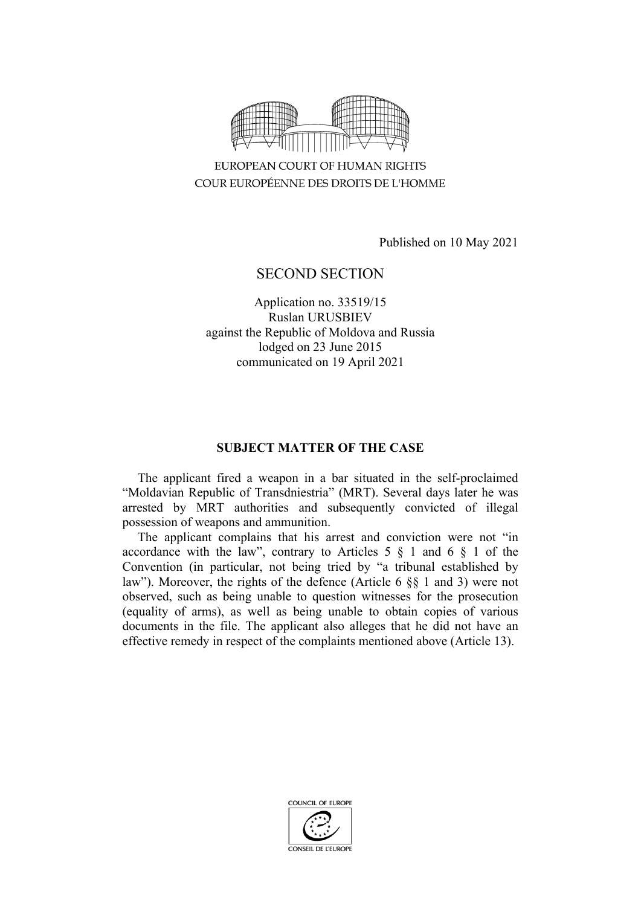

EUROPEAN COURT OF HUMAN RIGHTS COUR EUROPÉENNE DES DROITS DE L'HOMME

Published on 10 May 2021

# SECOND SECTION

Application no. 33519/15 Ruslan URUSBIEV against the Republic of Moldova and Russia lodged on 23 June 2015 communicated on 19 April 2021

# **SUBJECT MATTER OF THE CASE**

The applicant fired a weapon in a bar situated in the self-proclaimed "Moldavian Republic of Transdniestria" (MRT). Several days later he was arrested by MRT authorities and subsequently convicted of illegal possession of weapons and ammunition.

The applicant complains that his arrest and conviction were not "in accordance with the law", contrary to Articles  $5 \S 1$  and  $6 \S 1$  of the Convention (in particular, not being tried by "a tribunal established by law"). Moreover, the rights of the defence (Article 6 §§ 1 and 3) were not observed, such as being unable to question witnesses for the prosecution (equality of arms), as well as being unable to obtain copies of various documents in the file. The applicant also alleges that he did not have an effective remedy in respect of the complaints mentioned above (Article 13).

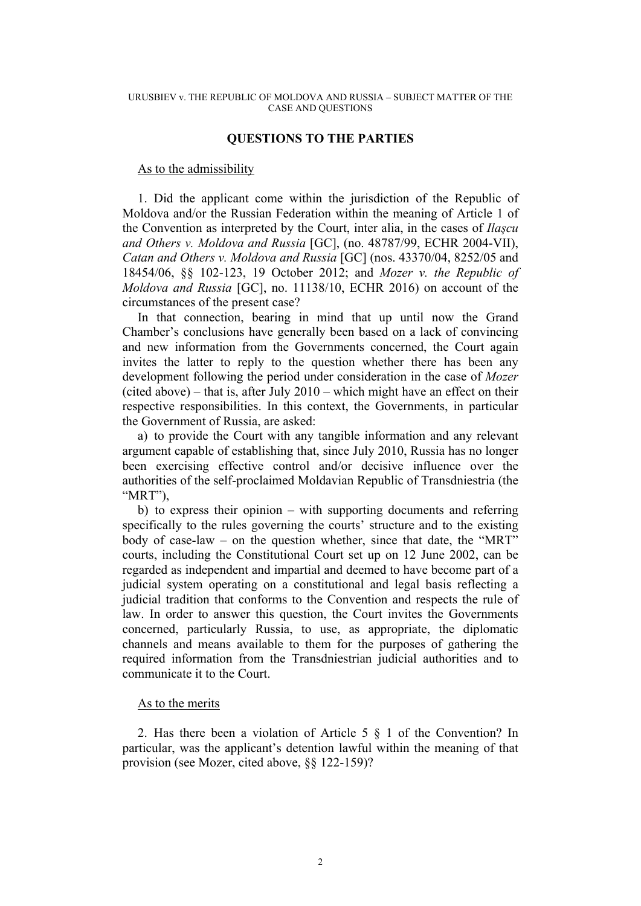#### URUSBIEV v. THE REPUBLIC OF MOLDOVA AND RUSSIA – SUBJECT MATTER OF THE CASE AND QUESTIONS

# **QUESTIONS TO THE PARTIES**

## As to the admissibility

1. Did the applicant come within the jurisdiction of the Republic of Moldova and/or the Russian Federation within the meaning of Article 1 of the Convention as interpreted by the Court, inter alia, in the cases of *Ilaşcu and Others v. Moldova and Russia* [GC], (no. 48787/99, ECHR 2004-VII), *Catan and Others v. Moldova and Russia* [GC] (nos. 43370/04, 8252/05 and 18454/06, §§ 102-123, 19 October 2012; and *Mozer v. the Republic of Moldova and Russia* [GC], no. 11138/10, ECHR 2016) on account of the circumstances of the present case?

In that connection, bearing in mind that up until now the Grand Chamber's conclusions have generally been based on a lack of convincing and new information from the Governments concerned, the Court again invites the latter to reply to the question whether there has been any development following the period under consideration in the case of *Mozer* (cited above) – that is, after July 2010 – which might have an effect on their respective responsibilities. In this context, the Governments, in particular the Government of Russia, are asked:

a) to provide the Court with any tangible information and any relevant argument capable of establishing that, since July 2010, Russia has no longer been exercising effective control and/or decisive influence over the authorities of the self-proclaimed Moldavian Republic of Transdniestria (the "MRT"),

b) to express their opinion – with supporting documents and referring specifically to the rules governing the courts' structure and to the existing body of case-law – on the question whether, since that date, the "MRT" courts, including the Constitutional Court set up on 12 June 2002, can be regarded as independent and impartial and deemed to have become part of a judicial system operating on a constitutional and legal basis reflecting a judicial tradition that conforms to the Convention and respects the rule of law. In order to answer this question, the Court invites the Governments concerned, particularly Russia, to use, as appropriate, the diplomatic channels and means available to them for the purposes of gathering the required information from the Transdniestrian judicial authorities and to communicate it to the Court.

### As to the merits

2. Has there been a violation of Article 5 § 1 of the Convention? In particular, was the applicant's detention lawful within the meaning of that provision (see Mozer, cited above, §§ 122-159)?